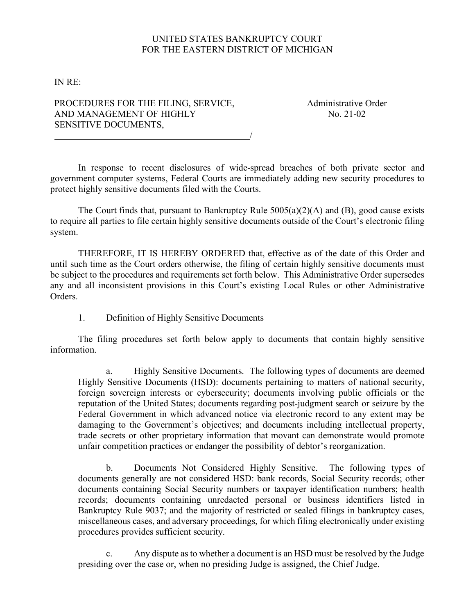## UNITED STATES BANKRUPTCY COURT FOR THE EASTERN DISTRICT OF MICHIGAN

IN RE:

## PROCEDURES FOR THE FILING, SERVICE, AND MANAGEMENT OF HIGHLY SENSITIVE DOCUMENTS,

Administrative Order No. 21-02

In response to recent disclosures of wide-spread breaches of both private sector and government computer systems, Federal Courts are immediately adding new security procedures to protect highly sensitive documents filed with the Courts.

/

The Court finds that, pursuant to Bankruptcy Rule  $5005(a)(2)(A)$  and (B), good cause exists to require all parties to file certain highly sensitive documents outside of the Court's electronic filing system.

THEREFORE, IT IS HEREBY ORDERED that, effective as of the date of this Order and until such time as the Court orders otherwise, the filing of certain highly sensitive documents must be subject to the procedures and requirements set forth below. This Administrative Order supersedes any and all inconsistent provisions in this Court's existing Local Rules or other Administrative Orders.

1. Definition of Highly Sensitive Documents

The filing procedures set forth below apply to documents that contain highly sensitive information.

a. Highly Sensitive Documents. The following types of documents are deemed Highly Sensitive Documents (HSD): documents pertaining to matters of national security, foreign sovereign interests or cybersecurity; documents involving public officials or the reputation of the United States; documents regarding post-judgment search or seizure by the Federal Government in which advanced notice via electronic record to any extent may be damaging to the Government's objectives; and documents including intellectual property, trade secrets or other proprietary information that movant can demonstrate would promote unfair competition practices or endanger the possibility of debtor's reorganization.

b. Documents Not Considered Highly Sensitive. The following types of documents generally are not considered HSD: bank records, Social Security records; other documents containing Social Security numbers or taxpayer identification numbers; health records; documents containing unredacted personal or business identifiers listed in Bankruptcy Rule 9037; and the majority of restricted or sealed filings in bankruptcy cases, miscellaneous cases, and adversary proceedings, for which filing electronically under existing procedures provides sufficient security.

c. Any dispute as to whether a document is an HSD must be resolved by the Judge presiding over the case or, when no presiding Judge is assigned, the Chief Judge.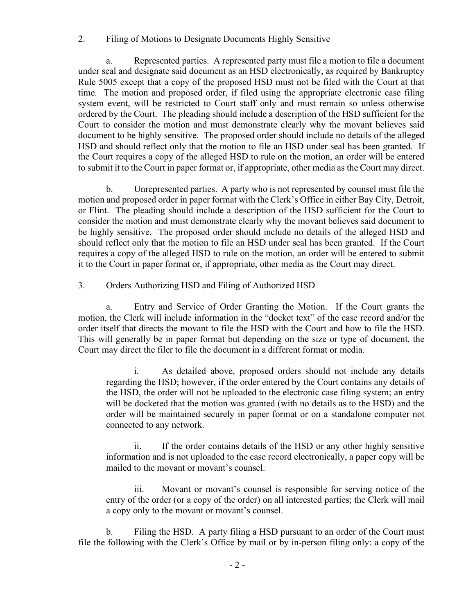## 2. Filing of Motions to Designate Documents Highly Sensitive

a. Represented parties. A represented party must file a motion to file a document under seal and designate said document as an HSD electronically, as required by Bankruptcy Rule 5005 except that a copy of the proposed HSD must not be filed with the Court at that time. The motion and proposed order, if filed using the appropriate electronic case filing system event, will be restricted to Court staff only and must remain so unless otherwise ordered by the Court. The pleading should include a description of the HSD sufficient for the Court to consider the motion and must demonstrate clearly why the movant believes said document to be highly sensitive. The proposed order should include no details of the alleged HSD and should reflect only that the motion to file an HSD under seal has been granted. If the Court requires a copy of the alleged HSD to rule on the motion, an order will be entered to submit it to the Court in paper format or, if appropriate, other media as the Court may direct.

b. Unrepresented parties. A party who is not represented by counsel must file the motion and proposed order in paper format with the Clerk's Office in either Bay City, Detroit, or Flint. The pleading should include a description of the HSD sufficient for the Court to consider the motion and must demonstrate clearly why the movant believes said document to be highly sensitive. The proposed order should include no details of the alleged HSD and should reflect only that the motion to file an HSD under seal has been granted. If the Court requires a copy of the alleged HSD to rule on the motion, an order will be entered to submit it to the Court in paper format or, if appropriate, other media as the Court may direct.

3. Orders Authorizing HSD and Filing of Authorized HSD

a. Entry and Service of Order Granting the Motion. If the Court grants the motion, the Clerk will include information in the "docket text" of the case record and/or the order itself that directs the movant to file the HSD with the Court and how to file the HSD. This will generally be in paper format but depending on the size or type of document, the Court may direct the filer to file the document in a different format or media.

i. As detailed above, proposed orders should not include any details regarding the HSD; however, if the order entered by the Court contains any details of the HSD, the order will not be uploaded to the electronic case filing system; an entry will be docketed that the motion was granted (with no details as to the HSD) and the order will be maintained securely in paper format or on a standalone computer not connected to any network.

ii. If the order contains details of the HSD or any other highly sensitive information and is not uploaded to the case record electronically, a paper copy will be mailed to the movant or movant's counsel.

iii. Movant or movant's counsel is responsible for serving notice of the entry of the order (or a copy of the order) on all interested parties; the Clerk will mail a copy only to the movant or movant's counsel.

b. Filing the HSD. A party filing a HSD pursuant to an order of the Court must file the following with the Clerk's Office by mail or by in-person filing only: a copy of the